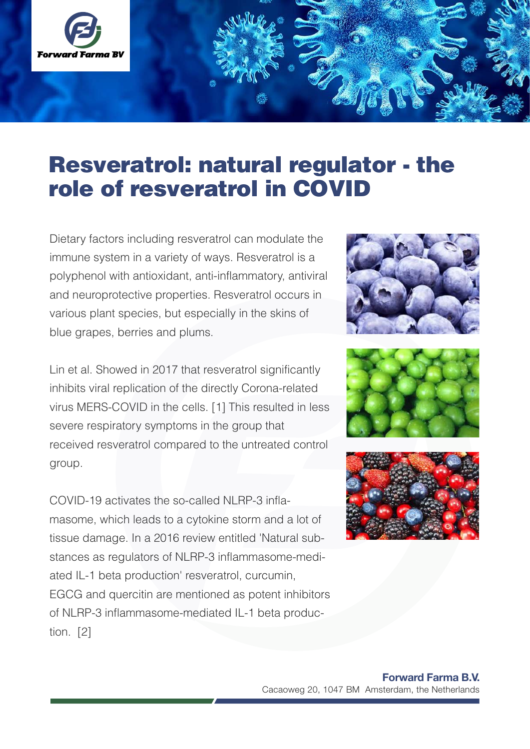

# Resveratrol: natural regulator - the role of resveratrol in COVID

Dietary factors including resveratrol can modulate the immune system in a variety of ways. Resveratrol is a polyphenol with antioxidant, anti-inflammatory, antiviral and neuroprotective properties. Resveratrol occurs in various plant species, but especially in the skins of blue grapes, berries and plums.

Lin et al. Showed in 2017 that resveratrol significantly inhibits viral replication of the directly Corona-related virus MERS-COVID in the cells. [1] This resulted in less severe respiratory symptoms in the group that received resveratrol compared to the untreated control group.

COVID-19 activates the so-called NLRP-3 inflamasome, which leads to a cytokine storm and a lot of tissue damage. In a 2016 review entitled 'Natural substances as regulators of NLRP-3 inflammasome-mediated IL-1 beta production' resveratrol, curcumin, EGCG and quercitin are mentioned as potent inhibitors of NLRP-3 inflammasome-mediated IL-1 beta production. [2]





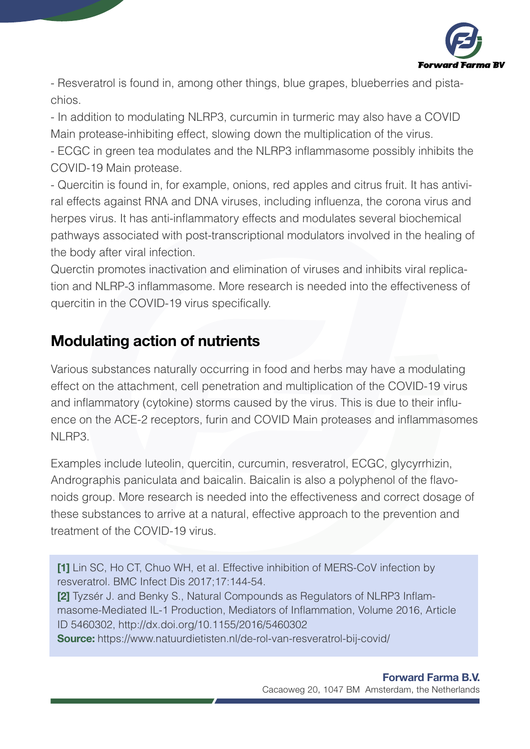

- Resveratrol is found in, among other things, blue grapes, blueberries and pistachios.

- In addition to modulating NLRP3, curcumin in turmeric may also have a COVID Main protease-inhibiting effect, slowing down the multiplication of the virus.

- ECGC in green tea modulates and the NLRP3 inflammasome possibly inhibits the COVID-19 Main protease.

- Quercitin is found in, for example, onions, red apples and citrus fruit. It has antiviral effects against RNA and DNA viruses, including influenza, the corona virus and herpes virus. It has anti-inflammatory effects and modulates several biochemical pathways associated with post-transcriptional modulators involved in the healing of the body after viral infection.

Querctin promotes inactivation and elimination of viruses and inhibits viral replication and NLRP-3 inflammasome. More research is needed into the effectiveness of quercitin in the COVID-19 virus specifically.

# Modulating action of nutrients

Various substances naturally occurring in food and herbs may have a modulating effect on the attachment, cell penetration and multiplication of the COVID-19 virus and inflammatory (cytokine) storms caused by the virus. This is due to their influence on the ACE-2 receptors, furin and COVID Main proteases and inflammasomes NI RP3.

Examples include luteolin, quercitin, curcumin, resveratrol, ECGC, glycyrrhizin, Andrographis paniculata and baicalin. Baicalin is also a polyphenol of the flavonoids group. More research is needed into the effectiveness and correct dosage of these substances to arrive at a natural, effective approach to the prevention and treatment of the COVID-19 virus.

[1] Lin SC, Ho CT, Chuo WH, et al. Effective inhibition of MERS-CoV infection by resveratrol. BMC Infect Dis 2017;17:144-54.

[2] Tyzsér J. and Benky S., Natural Compounds as Regulators of NLRP3 Inflammasome-Mediated IL-1 Production, Mediators of Inflammation, Volume 2016, Article ID 5460302, http://dx.doi.org/10.1155/2016/5460302

Source: https://www.natuurdietisten.nl/de-rol-van-resveratrol-bij-covid/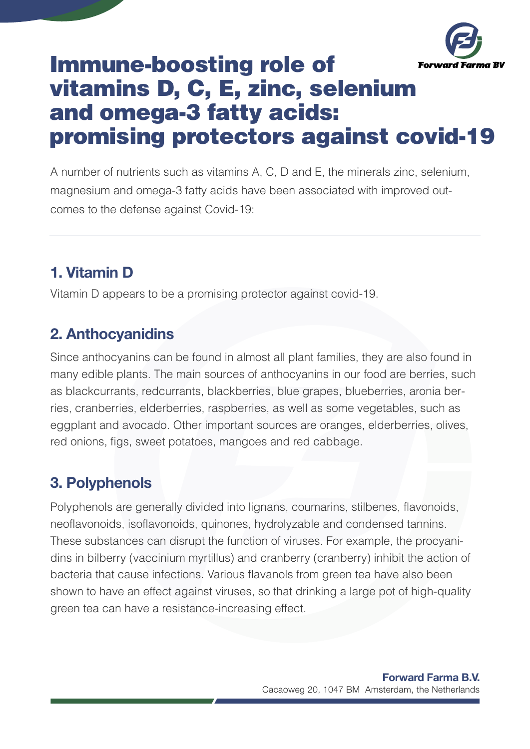

# Immune-boosting role of vitamins D, C, E, zinc, selenium and omega-3 fatty acids: promising protectors against covid-19

A number of nutrients such as vitamins A, C, D and E, the minerals zinc, selenium, magnesium and omega-3 fatty acids have been associated with improved outcomes to the defense against Covid-19:

# 1. Vitamin D

Vitamin D appears to be a promising protector against covid-19.

## 2. Anthocyanidins

Since anthocyanins can be found in almost all plant families, they are also found in many edible plants. The main sources of anthocyanins in our food are berries, such as blackcurrants, redcurrants, blackberries, blue grapes, blueberries, aronia berries, cranberries, elderberries, raspberries, as well as some vegetables, such as eggplant and avocado. Other important sources are oranges, elderberries, olives, red onions, figs, sweet potatoes, mangoes and red cabbage.

# 3. Polyphenols

Polyphenols are generally divided into lignans, coumarins, stilbenes, flavonoids, neoflavonoids, isoflavonoids, quinones, hydrolyzable and condensed tannins. These substances can disrupt the function of viruses. For example, the procyanidins in bilberry (vaccinium myrtillus) and cranberry (cranberry) inhibit the action of bacteria that cause infections. Various flavanols from green tea have also been shown to have an effect against viruses, so that drinking a large pot of high-quality green tea can have a resistance-increasing effect.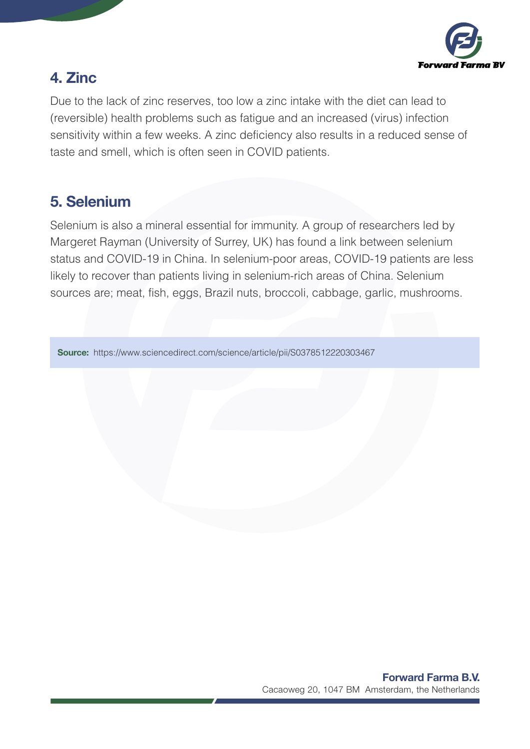

# 4. Zinc

Due to the lack of zinc reserves, too low a zinc intake with the diet can lead to (reversible) health problems such as fatigue and an increased (virus) infection sensitivity within a few weeks. A zinc deficiency also results in a reduced sense of taste and smell, which is often seen in COVID patients.

### 5. Selenium

Selenium is also a mineral essential for immunity. A group of researchers led by Margeret Rayman (University of Surrey, UK) has found a link between selenium status and COVID-19 in China. In selenium-poor areas, COVID-19 patients are less likely to recover than patients living in selenium-rich areas of China. Selenium sources are; meat, fish, eggs, Brazil nuts, broccoli, cabbage, garlic, mushrooms.

Source: https://www.sciencedirect.com/science/article/pii/S0378512220303467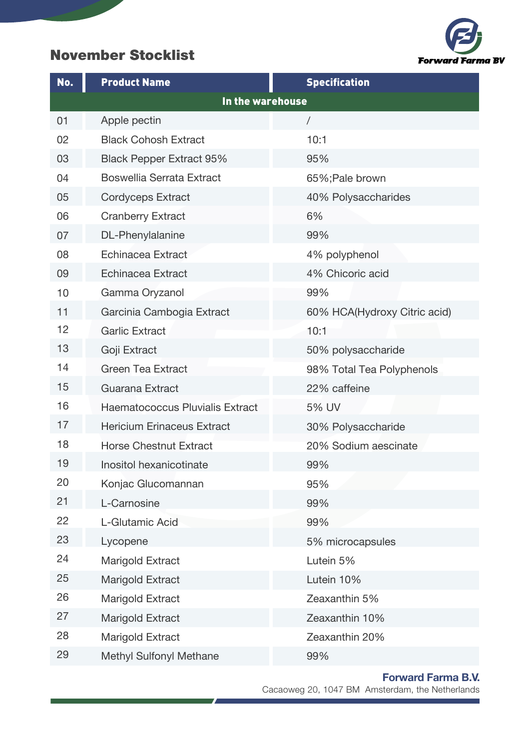### November Stocklist



| No. | <b>Product Name</b>                    | <b>Specification</b>         |
|-----|----------------------------------------|------------------------------|
|     | In the warehouse                       |                              |
| 01  | Apple pectin                           | $\sqrt{2}$                   |
| 02  | <b>Black Cohosh Extract</b>            | 10:1                         |
| 03  | <b>Black Pepper Extract 95%</b>        | 95%                          |
| 04  | <b>Boswellia Serrata Extract</b>       | 65%; Pale brown              |
| 05  | <b>Cordyceps Extract</b>               | 40% Polysaccharides          |
| 06  | <b>Cranberry Extract</b>               | 6%                           |
| 07  | DL-Phenylalanine                       | 99%                          |
| 08  | Echinacea Extract                      | 4% polyphenol                |
| 09  | Echinacea Extract                      | 4% Chicoric acid             |
| 10  | Gamma Oryzanol                         | 99%                          |
| 11  | Garcinia Cambogia Extract              | 60% HCA(Hydroxy Citric acid) |
| 12  | <b>Garlic Extract</b>                  | 10:1                         |
| 13  | Goji Extract                           | 50% polysaccharide           |
| 14  | <b>Green Tea Extract</b>               | 98% Total Tea Polyphenols    |
| 15  | Guarana Extract                        | 22% caffeine                 |
| 16  | <b>Haematococcus Pluvialis Extract</b> | 5% UV                        |
| 17  | <b>Hericium Erinaceus Extract</b>      | 30% Polysaccharide           |
| 18  | <b>Horse Chestnut Extract</b>          | 20% Sodium aescinate         |
| 19  | Inositol hexanicotinate                | 99%                          |
| 20  | Konjac Glucomannan                     | 95%                          |
| 21  | L-Carnosine                            | 99%                          |
| 22  | L-Glutamic Acid                        | 99%                          |
| 23  | Lycopene                               | 5% microcapsules             |
| 24  | Marigold Extract                       | Lutein 5%                    |
| 25  | Marigold Extract                       | Lutein 10%                   |
| 26  | Marigold Extract                       | Zeaxanthin 5%                |
| 27  | Marigold Extract                       | Zeaxanthin 10%               |
| 28  | Marigold Extract                       | Zeaxanthin 20%               |
| 29  | Methyl Sulfonyl Methane                | 99%                          |

 $\overline{J}$ 

#### Forward Farma B.V.

Ħ

Cacaoweg 20, 1047 BM Amsterdam, the Netherlands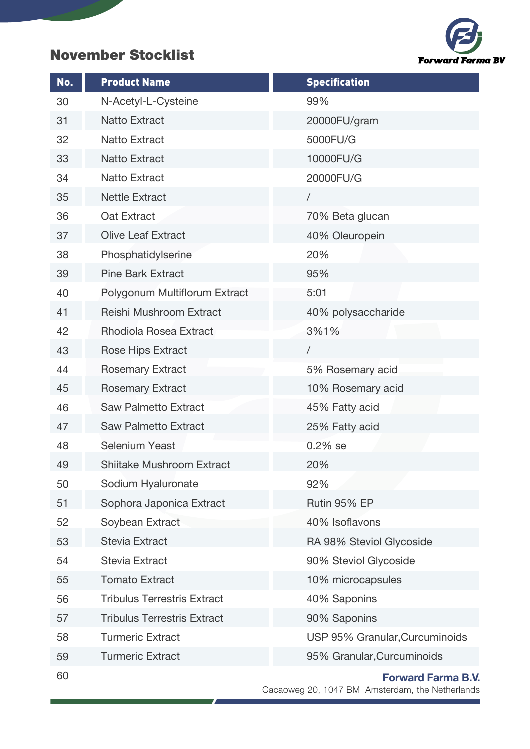### November Stocklist

| No. | <b>Product Name</b>                | <b>Specification</b>           |
|-----|------------------------------------|--------------------------------|
| 30  | N-Acetyl-L-Cysteine                | 99%                            |
| 31  | <b>Natto Extract</b>               | 20000FU/gram                   |
| 32  | <b>Natto Extract</b>               | 5000FU/G                       |
| 33  | <b>Natto Extract</b>               | 10000FU/G                      |
| 34  | <b>Natto Extract</b>               | 20000FU/G                      |
| 35  | <b>Nettle Extract</b>              | $\sqrt{2}$                     |
| 36  | Oat Extract                        | 70% Beta glucan                |
| 37  | <b>Olive Leaf Extract</b>          | 40% Oleuropein                 |
| 38  | Phosphatidylserine                 | 20%                            |
| 39  | <b>Pine Bark Extract</b>           | 95%                            |
| 40  | Polygonum Multiflorum Extract      | 5:01                           |
| 41  | Reishi Mushroom Extract            | 40% polysaccharide             |
| 42  | Rhodiola Rosea Extract             | 3%1%                           |
| 43  | Rose Hips Extract                  | $\sqrt{2}$                     |
| 44  | <b>Rosemary Extract</b>            | 5% Rosemary acid               |
| 45  | <b>Rosemary Extract</b>            | 10% Rosemary acid              |
| 46  | <b>Saw Palmetto Extract</b>        | 45% Fatty acid                 |
| 47  | <b>Saw Palmetto Extract</b>        | 25% Fatty acid                 |
| 48  | <b>Selenium Yeast</b>              | $0.2%$ se                      |
| 49  | <b>Shiitake Mushroom Extract</b>   | 20%                            |
| 50  | Sodium Hyaluronate                 | 92%                            |
| 51  | Sophora Japonica Extract           | Rutin 95% EP                   |
| 52  | Soybean Extract                    | 40% Isoflavons                 |
| 53  | <b>Stevia Extract</b>              | RA 98% Steviol Glycoside       |
| 54  | <b>Stevia Extract</b>              | 90% Steviol Glycoside          |
| 55  | <b>Tomato Extract</b>              | 10% microcapsules              |
| 56  | <b>Tribulus Terrestris Extract</b> | 40% Saponins                   |
| 57  | <b>Tribulus Terrestris Extract</b> | 90% Saponins                   |
| 58  | <b>Turmeric Extract</b>            | USP 95% Granular, Curcuminoids |
| 59  | <b>Turmeric Extract</b>            | 95% Granular, Curcuminoids     |
| 60  |                                    | <b>Forward Farma B.V.</b>      |

 $\overline{f}$ 

#### Forward Farma B.V.

Ť.

**Forward Farma BV** 

Cacaoweg 20, 1047 BM Amsterdam, the Netherlands